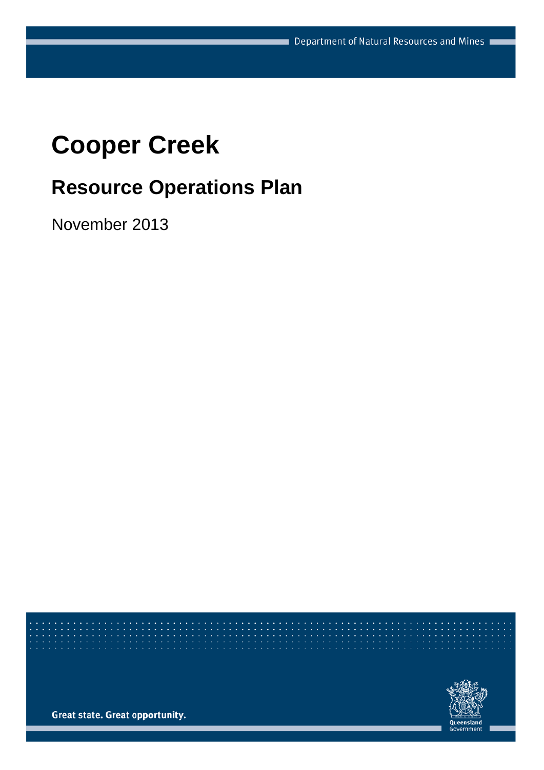# **Cooper Creek**

# **Resource Operations Plan**

November 2013



**Great state. Great opportunity.**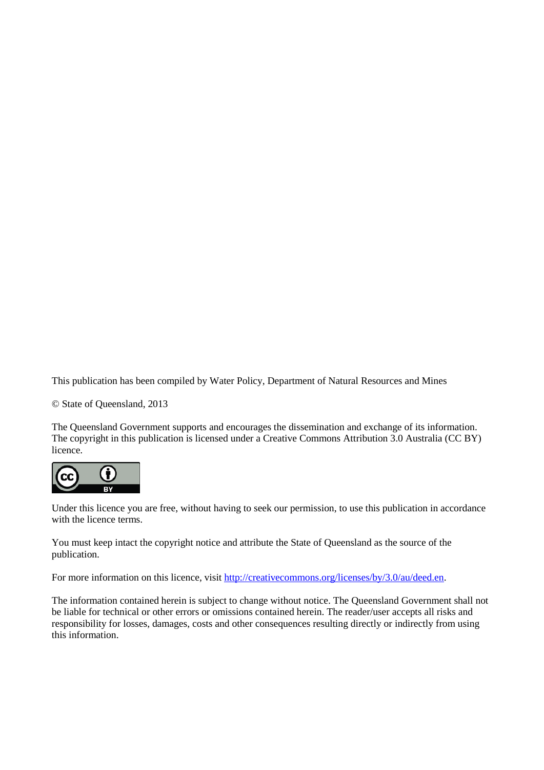This publication has been compiled by Water Policy, Department of Natural Resources and Mines

© State of Queensland, 2013

The Queensland Government supports and encourages the dissemination and exchange of its information. The copyright in this publication is licensed under a Creative Commons Attribution 3.0 Australia (CC BY) licence.



Under this licence you are free, without having to seek our permission, to use this publication in accordance with the licence terms.

You must keep intact the copyright notice and attribute the State of Queensland as the source of the publication.

For more information on this licence, visit [http://creativecommons.org/licenses/by/3.0/au/deed.en.](http://creativecommons.org/licenses/by/3.0/au/deed.en)

The information contained herein is subject to change without notice. The Queensland Government shall not be liable for technical or other errors or omissions contained herein. The reader/user accepts all risks and responsibility for losses, damages, costs and other consequences resulting directly or indirectly from using this information.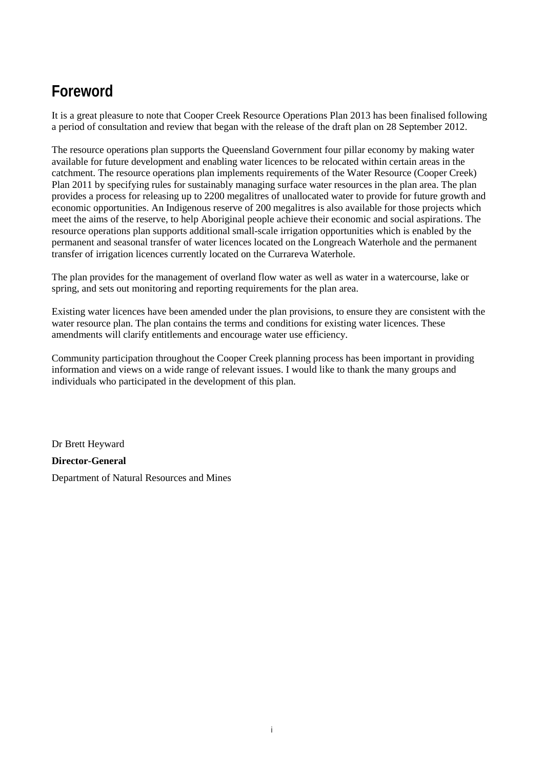### **Foreword**

It is a great pleasure to note that Cooper Creek Resource Operations Plan 2013 has been finalised following a period of consultation and review that began with the release of the draft plan on 28 September 2012.

The resource operations plan supports the Queensland Government four pillar economy by making water available for future development and enabling water licences to be relocated within certain areas in the catchment. The resource operations plan implements requirements of the Water Resource (Cooper Creek) Plan 2011 by specifying rules for sustainably managing surface water resources in the plan area. The plan provides a process for releasing up to 2200 megalitres of unallocated water to provide for future growth and economic opportunities. An Indigenous reserve of 200 megalitres is also available for those projects which meet the aims of the reserve, to help Aboriginal people achieve their economic and social aspirations. The resource operations plan supports additional small-scale irrigation opportunities which is enabled by the permanent and seasonal transfer of water licences located on the Longreach Waterhole and the permanent transfer of irrigation licences currently located on the Currareva Waterhole.

The plan provides for the management of overland flow water as well as water in a watercourse, lake or spring, and sets out monitoring and reporting requirements for the plan area.

Existing water licences have been amended under the plan provisions, to ensure they are consistent with the water resource plan. The plan contains the terms and conditions for existing water licences. These amendments will clarify entitlements and encourage water use efficiency.

Community participation throughout the Cooper Creek planning process has been important in providing information and views on a wide range of relevant issues. I would like to thank the many groups and individuals who participated in the development of this plan.

Dr Brett Heyward

**Director-General**  Department of Natural Resources and Mines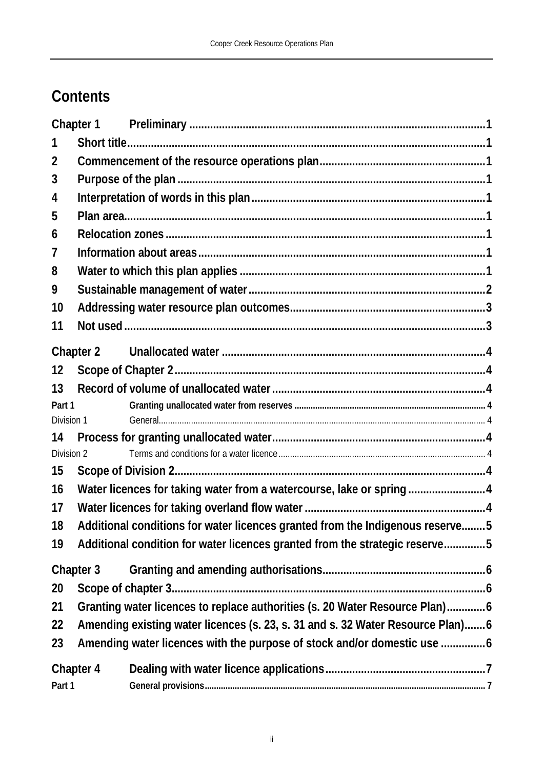## **Contents**

|            | Chapter 1                                                                      |  |
|------------|--------------------------------------------------------------------------------|--|
|            |                                                                                |  |
| 2          |                                                                                |  |
| 3          |                                                                                |  |
| 4          |                                                                                |  |
| 5          |                                                                                |  |
| 6          |                                                                                |  |
| $\prime$   |                                                                                |  |
| 8          |                                                                                |  |
| 9          |                                                                                |  |
| 10         |                                                                                |  |
| 11         |                                                                                |  |
|            | Chapter 2                                                                      |  |
| 12         |                                                                                |  |
| 13         |                                                                                |  |
| Part 1     |                                                                                |  |
| Division 1 |                                                                                |  |
| 14         |                                                                                |  |
| Division 2 |                                                                                |  |
| 15         |                                                                                |  |
| 16         | Water licences for taking water from a watercourse, lake or spring4            |  |
| 17         |                                                                                |  |
| 18         | Additional conditions for water licences granted from the Indigenous reserve5  |  |
| 19         | Additional condition for water licences granted from the strategic reserve5    |  |
|            | Chapter 3                                                                      |  |
| 20         |                                                                                |  |
| 21         | Granting water licences to replace authorities (s. 20 Water Resource Plan)6    |  |
| 22         | Amending existing water licences (s. 23, s. 31 and s. 32 Water Resource Plan)6 |  |
| 23         |                                                                                |  |
|            | Chapter 4                                                                      |  |
| Part 1     |                                                                                |  |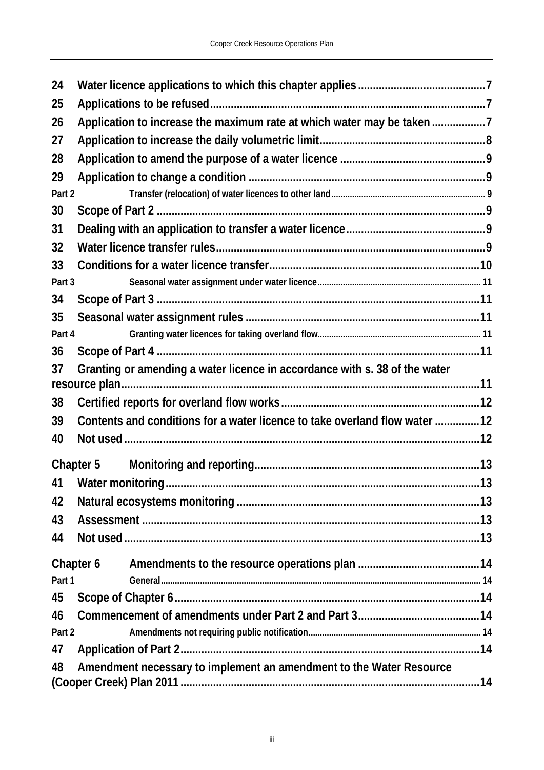| 24     |                                                                            |     |
|--------|----------------------------------------------------------------------------|-----|
| 25     |                                                                            |     |
| 26     | Application to increase the maximum rate at which water may be taken 7     |     |
| 27     |                                                                            |     |
| 28     |                                                                            |     |
| 29     |                                                                            |     |
| Part 2 |                                                                            |     |
| 30     |                                                                            |     |
| 31     |                                                                            |     |
| 32     |                                                                            |     |
| 33     |                                                                            |     |
| Part 3 |                                                                            |     |
| 34     |                                                                            |     |
| 35     |                                                                            |     |
| Part 4 |                                                                            |     |
| 36     |                                                                            |     |
| 37     | Granting or amending a water licence in accordance with s. 38 of the water |     |
|        |                                                                            |     |
| 38     |                                                                            |     |
| 39     | Contents and conditions for a water licence to take overland flow water 12 |     |
| 40     |                                                                            |     |
|        | Chapter 5                                                                  |     |
|        | 41 Water monitoring                                                        | .13 |
| 42     |                                                                            |     |
| 43     |                                                                            |     |
| 44     |                                                                            |     |
|        |                                                                            |     |
| Part 1 | Chapter 6                                                                  |     |
| 45     |                                                                            |     |
| 46     |                                                                            |     |
| Part 2 |                                                                            |     |
| 47     |                                                                            |     |
| 48     | Amendment necessary to implement an amendment to the Water Resource        |     |
|        |                                                                            |     |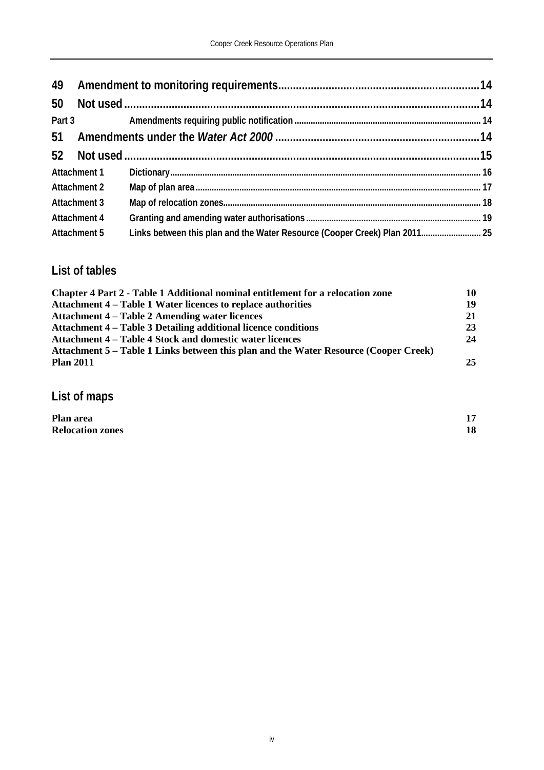| 49 |                     |                                                                            |  |
|----|---------------------|----------------------------------------------------------------------------|--|
| 50 |                     |                                                                            |  |
|    | Part 3              |                                                                            |  |
| 51 |                     |                                                                            |  |
|    |                     |                                                                            |  |
|    | Attachment 1        |                                                                            |  |
|    | <b>Attachment 2</b> |                                                                            |  |
|    | <b>Attachment 3</b> |                                                                            |  |
|    | <b>Attachment 4</b> |                                                                            |  |
|    | Attachment 5        | Links between this plan and the Water Resource (Cooper Creek) Plan 2011 25 |  |

### **List of tables**

| Chapter 4 Part 2 - Table 1 Additional nominal entitlement for a relocation zone      | 10 |
|--------------------------------------------------------------------------------------|----|
| Attachment 4 – Table 1 Water licences to replace authorities                         | 19 |
| <b>Attachment 4 – Table 2 Amending water licences</b>                                | 21 |
| Attachment 4 – Table 3 Detailing additional licence conditions                       | 23 |
| Attachment 4 – Table 4 Stock and domestic water licences                             | 24 |
| Attachment 5 – Table 1 Links between this plan and the Water Resource (Cooper Creek) |    |
| <b>Plan 2011</b>                                                                     | 25 |

**List of maps**

| Plan area               | 15 |
|-------------------------|----|
| <b>Relocation zones</b> | 18 |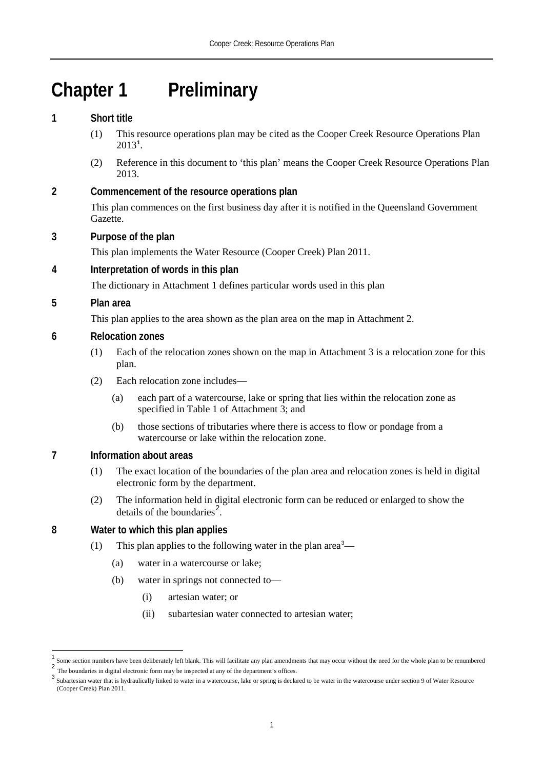# **Chapter 1 Preliminary**

#### **1 Short title**

- (1) This resource operations plan may be cited as the Cooper Creek Resource Operations Plan 2013**[1](#page-6-0)** .
- (2) Reference in this document to 'this plan' means the Cooper Creek Resource Operations Plan 2013.

#### **2 Commencement of the resource operations plan**

This plan commences on the first business day after it is notified in the Queensland Government Gazette.

#### **3 Purpose of the plan**

This plan implements the Water Resource (Cooper Creek) Plan 2011.

#### **4 Interpretation of words in this plan**

The dictionary in Attachment 1 defines particular words used in this plan

#### **5 Plan area**

 $\overline{\phantom{a}}$ 

This plan applies to the area shown as the plan area on the map in Attachment 2.

#### **6 Relocation zones**

- (1) Each of the relocation zones shown on the map in Attachment 3 is a relocation zone for this plan.
- (2) Each relocation zone includes—
	- (a) each part of a watercourse, lake or spring that lies within the relocation zone as specified in Table 1 of Attachment 3; and
	- (b) those sections of tributaries where there is access to flow or pondage from a watercourse or lake within the relocation zone.

#### **7 Information about areas**

- (1) The exact location of the boundaries of the plan area and relocation zones is held in digital electronic form by the department.
- (2) The information held in digital electronic form can be reduced or enlarged to show the details of the boundaries<sup>[2](#page-6-1)</sup>.

#### **8 Water to which this plan applies**

- (1) This plan applies to the following water in the plan area<sup>[3](#page-6-2)</sup>—
	- (a) water in a watercourse or lake;
	- (b) water in springs not connected to—
		- (i) artesian water; or
		- (ii) subartesian water connected to artesian water;

<span id="page-6-1"></span><span id="page-6-0"></span>Some section numbers have been deliberately left blank. This will facilitate any plan amendments that may occur without the need for the whole plan to be renumbered 2

<span id="page-6-2"></span>The boundaries in digital electronic form may be inspected at any of the department's offices.<br>Subartesian water that is hydraulically linked to water in a watercourse, lake or spring is declared to be water in the waterco (Cooper Creek) Plan 2011.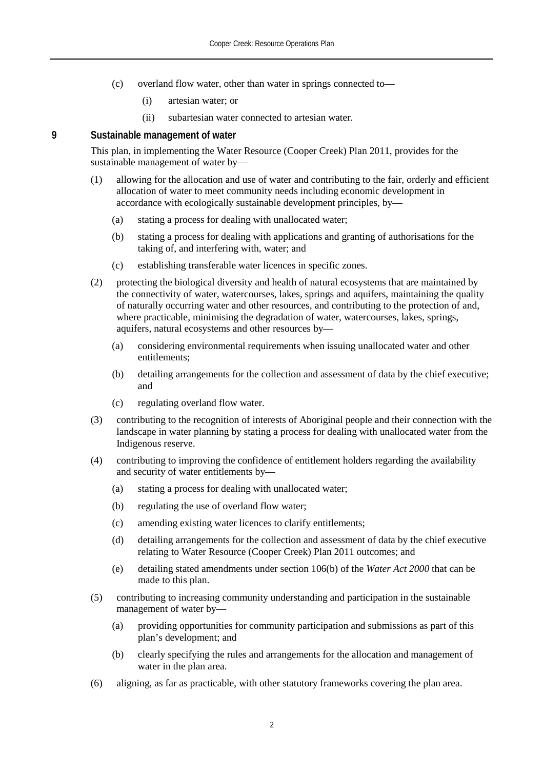- (c) overland flow water, other than water in springs connected to—
	- (i) artesian water; or
	- (ii) subartesian water connected to artesian water.

#### **9 Sustainable management of water**

This plan, in implementing the Water Resource (Cooper Creek) Plan 2011, provides for the sustainable management of water by—

- (1) allowing for the allocation and use of water and contributing to the fair, orderly and efficient allocation of water to meet community needs including economic development in accordance with ecologically sustainable development principles, by—
	- (a) stating a process for dealing with unallocated water;
	- (b) stating a process for dealing with applications and granting of authorisations for the taking of, and interfering with, water; and
	- (c) establishing transferable water licences in specific zones.
- (2) protecting the biological diversity and health of natural ecosystems that are maintained by the connectivity of water, watercourses, lakes, springs and aquifers, maintaining the quality of naturally occurring water and other resources, and contributing to the protection of and, where practicable, minimising the degradation of water, watercourses, lakes, springs, aquifers, natural ecosystems and other resources by—
	- (a) considering environmental requirements when issuing unallocated water and other entitlements;
	- (b) detailing arrangements for the collection and assessment of data by the chief executive; and
	- (c) regulating overland flow water.
- (3) contributing to the recognition of interests of Aboriginal people and their connection with the landscape in water planning by stating a process for dealing with unallocated water from the Indigenous reserve.
- (4) contributing to improving the confidence of entitlement holders regarding the availability and security of water entitlements by—
	- (a) stating a process for dealing with unallocated water;
	- (b) regulating the use of overland flow water;
	- (c) amending existing water licences to clarify entitlements;
	- (d) detailing arrangements for the collection and assessment of data by the chief executive relating to Water Resource (Cooper Creek) Plan 2011 outcomes; and
	- (e) detailing stated amendments under section 106(b) of the *Water Act 2000* that can be made to this plan.
- (5) contributing to increasing community understanding and participation in the sustainable management of water by—
	- (a) providing opportunities for community participation and submissions as part of this plan's development; and
	- (b) clearly specifying the rules and arrangements for the allocation and management of water in the plan area.
- (6) aligning, as far as practicable, with other statutory frameworks covering the plan area.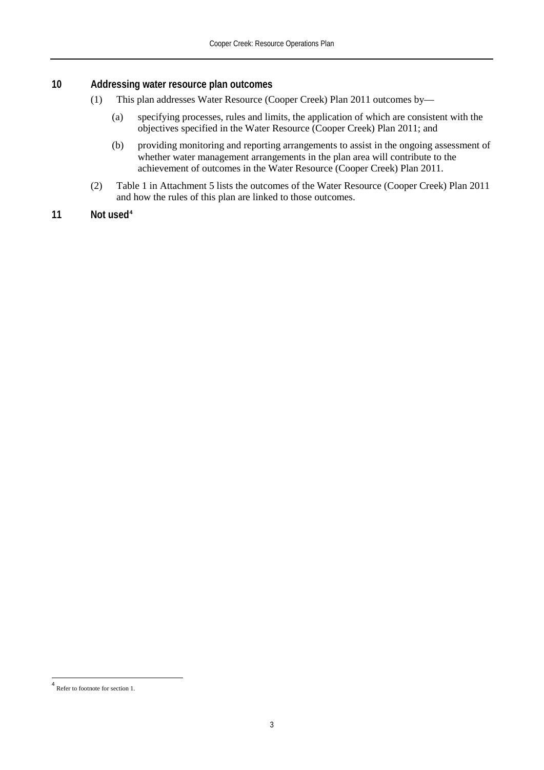#### **10 Addressing water resource plan outcomes**

- (1) This plan addresses Water Resource (Cooper Creek) Plan 2011 outcomes by—
	- (a) specifying processes, rules and limits, the application of which are consistent with the objectives specified in the Water Resource (Cooper Creek) Plan 2011; and
	- (b) providing monitoring and reporting arrangements to assist in the ongoing assessment of whether water management arrangements in the plan area will contribute to the achievement of outcomes in the Water Resource (Cooper Creek) Plan 2011.
- (2) Table 1 in Attachment 5 lists the outcomes of the Water Resource (Cooper Creek) Plan 2011 and how the rules of this plan are linked to those outcomes.

#### **11 Not used[4](#page-8-0)**

<span id="page-8-0"></span><sup>4</sup> Refer to footnote for section 1.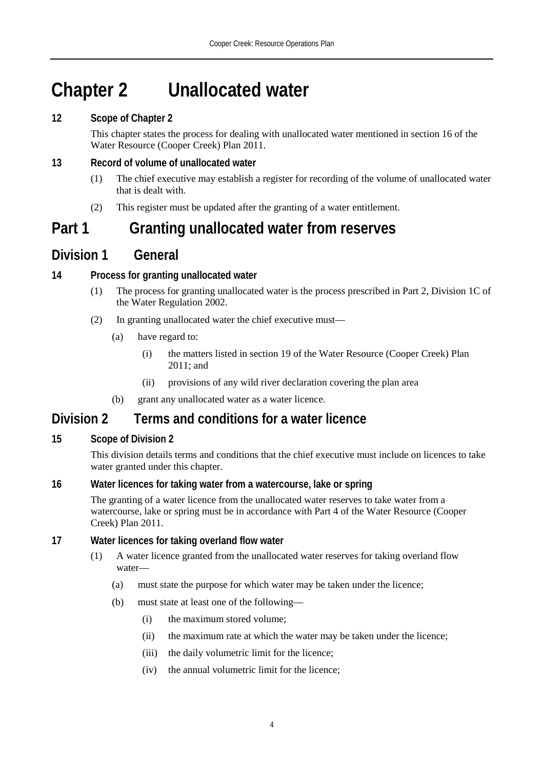# **Chapter 2 Unallocated water**

#### **12 Scope of Chapter 2**

This chapter states the process for dealing with unallocated water mentioned in section 16 of the Water Resource (Cooper Creek) Plan 2011.

#### **13 Record of volume of unallocated water**

- (1) The chief executive may establish a register for recording of the volume of unallocated water that is dealt with.
- (2) This register must be updated after the granting of a water entitlement.

### **Part 1 Granting unallocated water from reserves**

### **Division 1 General**

#### **14 Process for granting unallocated water**

- (1) The process for granting unallocated water is the process prescribed in Part 2, Division 1C of the Water Regulation 2002.
- (2) In granting unallocated water the chief executive must—
	- (a) have regard to:
		- (i) the matters listed in section 19 of the Water Resource (Cooper Creek) Plan 2011; and
		- (ii) provisions of any wild river declaration covering the plan area
	- (b) grant any unallocated water as a water licence.

### **Division 2 Terms and conditions for a water licence**

#### **15 Scope of Division 2**

This division details terms and conditions that the chief executive must include on licences to take water granted under this chapter.

#### **16 Water licences for taking water from a watercourse, lake or spring**

The granting of a water licence from the unallocated water reserves to take water from a watercourse, lake or spring must be in accordance with Part 4 of the Water Resource (Cooper Creek) Plan 2011.

#### **17 Water licences for taking overland flow water**

- (1) A water licence granted from the unallocated water reserves for taking overland flow water—
	- (a) must state the purpose for which water may be taken under the licence;
	- (b) must state at least one of the following—
		- (i) the maximum stored volume;
		- (ii) the maximum rate at which the water may be taken under the licence;
		- (iii) the daily volumetric limit for the licence;
		- (iv) the annual volumetric limit for the licence;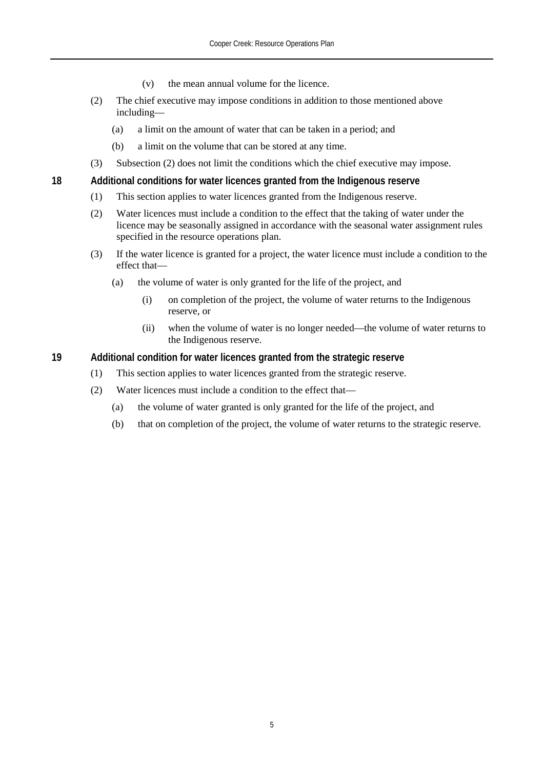- (v) the mean annual volume for the licence.
- (2) The chief executive may impose conditions in addition to those mentioned above including—
	- (a) a limit on the amount of water that can be taken in a period; and
	- (b) a limit on the volume that can be stored at any time.
- (3) Subsection (2) does not limit the conditions which the chief executive may impose.

**18 Additional conditions for water licences granted from the Indigenous reserve**

- (1) This section applies to water licences granted from the Indigenous reserve.
- (2) Water licences must include a condition to the effect that the taking of water under the licence may be seasonally assigned in accordance with the seasonal water assignment rules specified in the resource operations plan.
- (3) If the water licence is granted for a project, the water licence must include a condition to the effect that—
	- (a) the volume of water is only granted for the life of the project, and
		- (i) on completion of the project, the volume of water returns to the Indigenous reserve, or
		- (ii) when the volume of water is no longer needed—the volume of water returns to the Indigenous reserve.

#### **19 Additional condition for water licences granted from the strategic reserve**

- (1) This section applies to water licences granted from the strategic reserve.
- (2) Water licences must include a condition to the effect that—
	- (a) the volume of water granted is only granted for the life of the project, and
	- (b) that on completion of the project, the volume of water returns to the strategic reserve.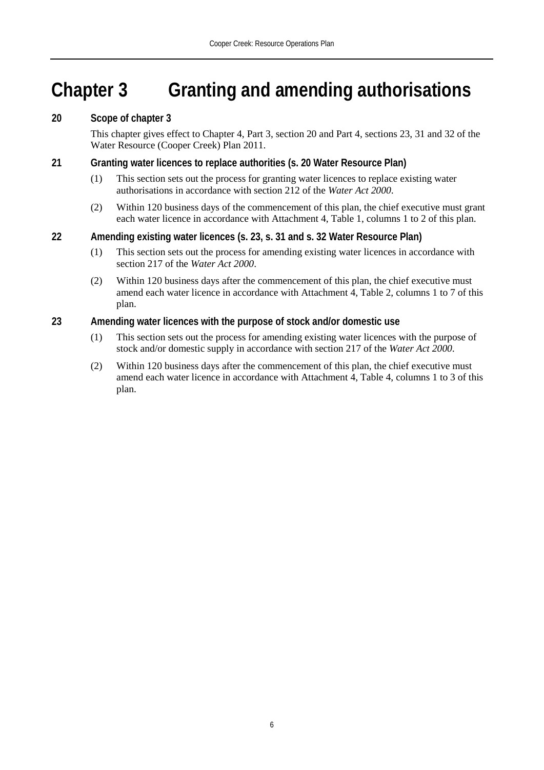# **Chapter 3 Granting and amending authorisations**

#### **20 Scope of chapter 3**

This chapter gives effect to Chapter 4, Part 3, section 20 and Part 4, sections 23, 31 and 32 of the Water Resource (Cooper Creek) Plan 2011.

#### **21 Granting water licences to replace authorities (s. 20 Water Resource Plan)**

- (1) This section sets out the process for granting water licences to replace existing water authorisations in accordance with section 212 of the *Water Act 2000*.
- (2) Within 120 business days of the commencement of this plan, the chief executive must grant each water licence in accordance with Attachment 4, Table 1, columns 1 to 2 of this plan.

#### **22 Amending existing water licences (s. 23, s. 31 and s. 32 Water Resource Plan)**

- (1) This section sets out the process for amending existing water licences in accordance with section 217 of the *Water Act 2000*.
- (2) Within 120 business days after the commencement of this plan, the chief executive must amend each water licence in accordance with Attachment 4, Table 2, columns 1 to 7 of this plan.

#### **23 Amending water licences with the purpose of stock and/or domestic use**

- (1) This section sets out the process for amending existing water licences with the purpose of stock and/or domestic supply in accordance with section 217 of the *Water Act 2000*.
- (2) Within 120 business days after the commencement of this plan, the chief executive must amend each water licence in accordance with Attachment 4, Table 4, columns 1 to 3 of this plan.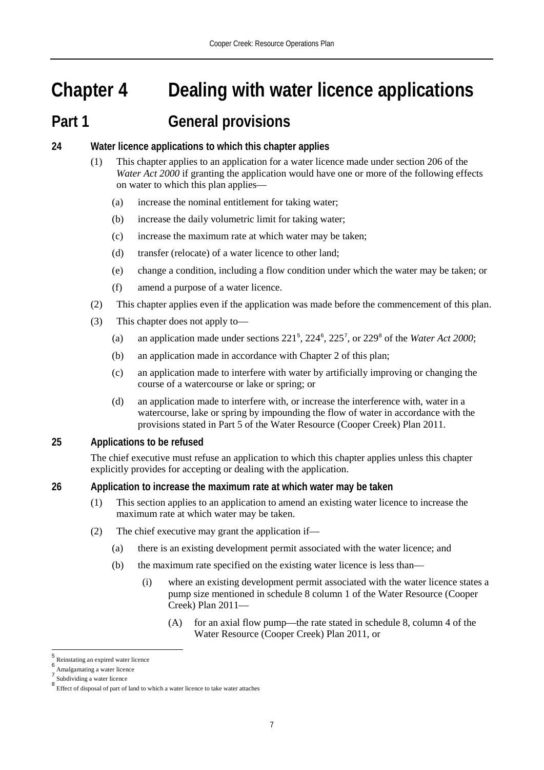# **Chapter 4 Dealing with water licence applications**

### **Part 1 General provisions**

- **24 Water licence applications to which this chapter applies**
	- (1) This chapter applies to an application for a water licence made under section 206 of the *Water Act 2000* if granting the application would have one or more of the following effects on water to which this plan applies—
		- (a) increase the nominal entitlement for taking water;
		- (b) increase the daily volumetric limit for taking water;
		- (c) increase the maximum rate at which water may be taken;
		- (d) transfer (relocate) of a water licence to other land;
		- (e) change a condition, including a flow condition under which the water may be taken; or
		- (f) amend a purpose of a water licence.
	- (2) This chapter applies even if the application was made before the commencement of this plan.
	- (3) This chapter does not apply to—
		- (a) an application made under sections  $221^5$  $221^5$ ,  $224^6$  $224^6$ ,  $225^7$  $225^7$ , or  $229^8$  $229^8$  of the *Water Act 2000*;
		- (b) an application made in accordance with Chapter 2 of this plan;
		- (c) an application made to interfere with water by artificially improving or changing the course of a watercourse or lake or spring; or
		- (d) an application made to interfere with, or increase the interference with, water in a watercourse, lake or spring by impounding the flow of water in accordance with the provisions stated in Part 5 of the Water Resource (Cooper Creek) Plan 2011.

#### **25 Applications to be refused**

The chief executive must refuse an application to which this chapter applies unless this chapter explicitly provides for accepting or dealing with the application.

#### **26 Application to increase the maximum rate at which water may be taken**

- (1) This section applies to an application to amend an existing water licence to increase the maximum rate at which water may be taken.
- (2) The chief executive may grant the application if—
	- (a) there is an existing development permit associated with the water licence; and
	- (b) the maximum rate specified on the existing water licence is less than—
		- (i) where an existing development permit associated with the water licence states a pump size mentioned in schedule 8 column 1 of the Water Resource (Cooper Creek) Plan 2011—
			- (A) for an axial flow pump—the rate stated in schedule 8, column 4 of the Water Resource (Cooper Creek) Plan 2011, or

<u>.</u>

<span id="page-12-0"></span><sup>5</sup> Reinstating an expired water licence <sup>6</sup> Amalgamating a water licence

<span id="page-12-2"></span><span id="page-12-1"></span>Subdividing a water licence

<span id="page-12-3"></span><sup>8</sup> Effect of disposal of part of land to which a water licence to take water attaches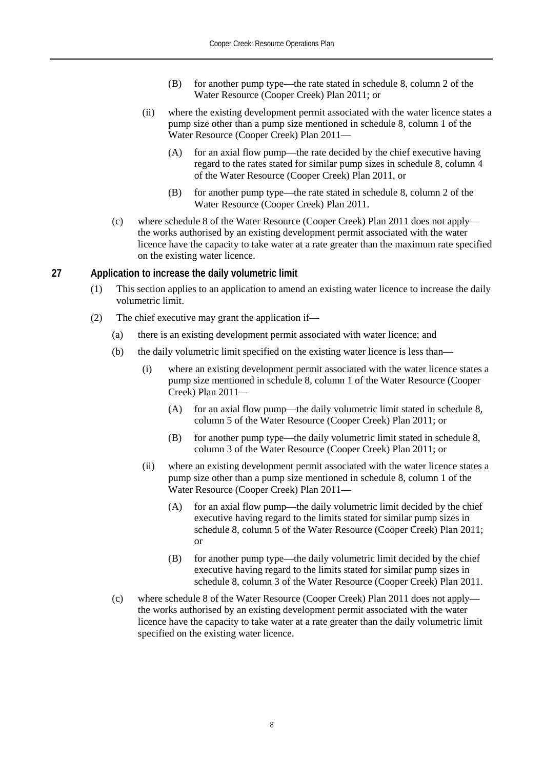- (B) for another pump type—the rate stated in schedule 8, column 2 of the Water Resource (Cooper Creek) Plan 2011; or
- (ii) where the existing development permit associated with the water licence states a pump size other than a pump size mentioned in schedule 8, column 1 of the Water Resource (Cooper Creek) Plan 2011—
	- (A) for an axial flow pump—the rate decided by the chief executive having regard to the rates stated for similar pump sizes in schedule 8, column 4 of the Water Resource (Cooper Creek) Plan 2011, or
	- (B) for another pump type—the rate stated in schedule 8, column 2 of the Water Resource (Cooper Creek) Plan 2011.
- (c) where schedule 8 of the Water Resource (Cooper Creek) Plan 2011 does not apply the works authorised by an existing development permit associated with the water licence have the capacity to take water at a rate greater than the maximum rate specified on the existing water licence.

#### **27 Application to increase the daily volumetric limit**

- (1) This section applies to an application to amend an existing water licence to increase the daily volumetric limit.
- (2) The chief executive may grant the application if—
	- (a) there is an existing development permit associated with water licence; and
	- (b) the daily volumetric limit specified on the existing water licence is less than—
		- (i) where an existing development permit associated with the water licence states a pump size mentioned in schedule 8, column 1 of the Water Resource (Cooper Creek) Plan 2011—
			- (A) for an axial flow pump—the daily volumetric limit stated in schedule 8, column 5 of the Water Resource (Cooper Creek) Plan 2011; or
			- (B) for another pump type—the daily volumetric limit stated in schedule 8, column 3 of the Water Resource (Cooper Creek) Plan 2011; or
		- (ii) where an existing development permit associated with the water licence states a pump size other than a pump size mentioned in schedule 8, column 1 of the Water Resource (Cooper Creek) Plan 2011—
			- (A) for an axial flow pump—the daily volumetric limit decided by the chief executive having regard to the limits stated for similar pump sizes in schedule 8, column 5 of the Water Resource (Cooper Creek) Plan 2011; or
			- (B) for another pump type—the daily volumetric limit decided by the chief executive having regard to the limits stated for similar pump sizes in schedule 8, column 3 of the Water Resource (Cooper Creek) Plan 2011.
	- (c) where schedule 8 of the Water Resource (Cooper Creek) Plan 2011 does not apply the works authorised by an existing development permit associated with the water licence have the capacity to take water at a rate greater than the daily volumetric limit specified on the existing water licence.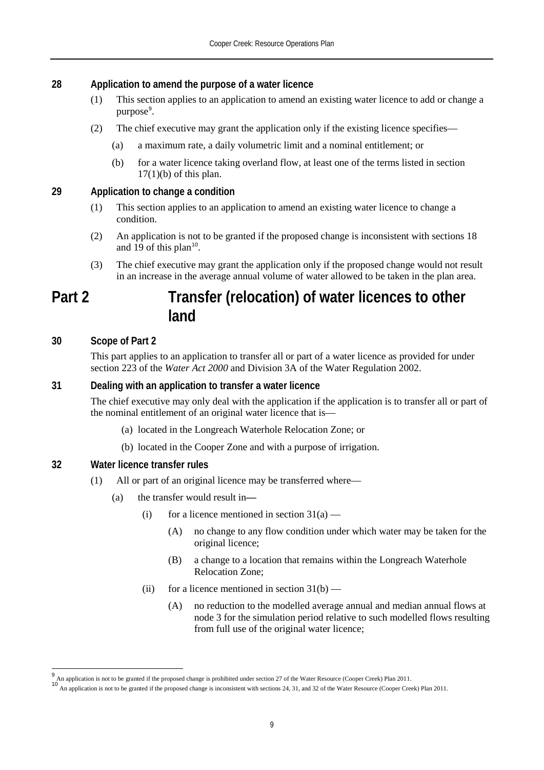#### **28 Application to amend the purpose of a water licence**

- (1) This section applies to an application to amend an existing water licence to add or change a purpose<sup>[9](#page-14-0)</sup>.
- (2) The chief executive may grant the application only if the existing licence specifies—
	- (a) a maximum rate, a daily volumetric limit and a nominal entitlement; or
	- (b) for a water licence taking overland flow, at least one of the terms listed in section  $17(1)(b)$  of this plan.

#### **29 Application to change a condition**

- (1) This section applies to an application to amend an existing water licence to change a condition.
- (2) An application is not to be granted if the proposed change is inconsistent with sections 18 and 19 of this plan<sup>[10](#page-14-1)</sup>.
- (3) The chief executive may grant the application only if the proposed change would not result in an increase in the average annual volume of water allowed to be taken in the plan area.

### **Part 2 Transfer (relocation) of water licences to other land**

#### **30 Scope of Part 2**

 $\overline{\phantom{a}}$ 

This part applies to an application to transfer all or part of a water licence as provided for under section 223 of the *Water Act 2000* and Division 3A of the Water Regulation 2002.

#### **31 Dealing with an application to transfer a water licence**

The chief executive may only deal with the application if the application is to transfer all or part of the nominal entitlement of an original water licence that is—

- (a) located in the Longreach Waterhole Relocation Zone; or
- (b) located in the Cooper Zone and with a purpose of irrigation.

#### **32 Water licence transfer rules**

- (1) All or part of an original licence may be transferred where—
	- (a) the transfer would result in**—**
		- (i) for a licence mentioned in section  $31(a)$ 
			- (A) no change to any flow condition under which water may be taken for the original licence;
			- (B) a change to a location that remains within the Longreach Waterhole Relocation Zone;
		- (ii) for a licence mentioned in section  $31(b)$ 
			- (A) no reduction to the modelled average annual and median annual flows at node 3 for the simulation period relative to such modelled flows resulting from full use of the original water licence;

<span id="page-14-1"></span><span id="page-14-0"></span>

 $^{9}$  An application is not to be granted if the proposed change is prohibited under section 27 of the Water Resource (Cooper Creek) Plan 2011.<br><sup>10</sup> An application is not to be granted if the proposed change is inconsiste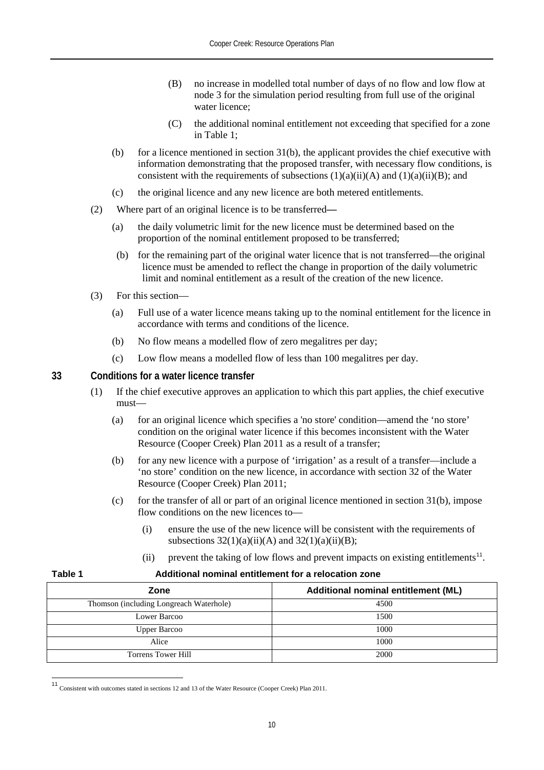- (B) no increase in modelled total number of days of no flow and low flow at node 3 for the simulation period resulting from full use of the original water licence;
- (C) the additional nominal entitlement not exceeding that specified for a zone in Table 1;
- (b) for a licence mentioned in section  $31(b)$ , the applicant provides the chief executive with information demonstrating that the proposed transfer, with necessary flow conditions, is consistent with the requirements of subsections  $(1)(a)(ii)(A)$  and  $(1)(a)(ii)(B)$ ; and
- (c) the original licence and any new licence are both metered entitlements.
- (2) Where part of an original licence is to be transferred**—**
	- (a) the daily volumetric limit for the new licence must be determined based on the proportion of the nominal entitlement proposed to be transferred;
	- (b) for the remaining part of the original water licence that is not transferred—the original licence must be amended to reflect the change in proportion of the daily volumetric limit and nominal entitlement as a result of the creation of the new licence.
- (3) For this section—
	- (a) Full use of a water licence means taking up to the nominal entitlement for the licence in accordance with terms and conditions of the licence.
	- (b) No flow means a modelled flow of zero megalitres per day;
	- (c) Low flow means a modelled flow of less than 100 megalitres per day.

**33 Conditions for a water licence transfer**

- (1) If the chief executive approves an application to which this part applies, the chief executive must—
	- (a) for an original licence which specifies a 'no store' condition—amend the 'no store' condition on the original water licence if this becomes inconsistent with the Water Resource (Cooper Creek) Plan 2011 as a result of a transfer;
	- (b) for any new licence with a purpose of 'irrigation' as a result of a transfer—include a 'no store' condition on the new licence, in accordance with section 32 of the Water Resource (Cooper Creek) Plan 2011;
	- (c) for the transfer of all or part of an original licence mentioned in section  $31(b)$ , impose flow conditions on the new licences to—
		- (i) ensure the use of the new licence will be consistent with the requirements of subsections  $32(1)(a)(ii)(A)$  and  $32(1)(a)(ii)(B)$ ;
		- (ii) prevent the taking of low flows and prevent impacts on existing entitlements<sup>[11](#page-15-0)</sup>.

| Zone                                    | Additional nominal entitlement (ML) |
|-----------------------------------------|-------------------------------------|
| Thomson (including Longreach Waterhole) | 4500                                |
| Lower Barcoo                            | 1500                                |
| <b>Upper Barcoo</b>                     | 1000                                |
| Alice                                   | 1000                                |
| <b>Torrens Tower Hill</b>               | 2000                                |

#### **Table 1 Additional nominal entitlement for a relocation zone**

<span id="page-15-0"></span><sup>11</sup> Consistent with outcomes stated in sections 12 and 13 of the Water Resource (Cooper Creek) Plan 2011.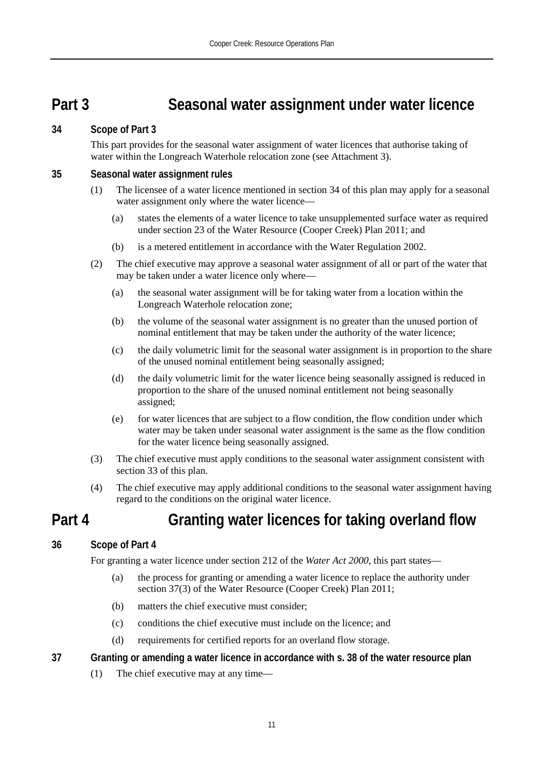### **Part 3 Seasonal water assignment under water licence**

#### **34 Scope of Part 3**

This part provides for the seasonal water assignment of water licences that authorise taking of water within the Longreach Waterhole relocation zone (see Attachment 3).

#### **35 Seasonal water assignment rules**

- (1) The licensee of a water licence mentioned in section 34 of this plan may apply for a seasonal water assignment only where the water licence—
	- (a) states the elements of a water licence to take unsupplemented surface water as required under section 23 of the Water Resource (Cooper Creek) Plan 2011; and
	- (b) is a metered entitlement in accordance with the Water Regulation 2002.
- (2) The chief executive may approve a seasonal water assignment of all or part of the water that may be taken under a water licence only where—
	- (a) the seasonal water assignment will be for taking water from a location within the Longreach Waterhole relocation zone;
	- (b) the volume of the seasonal water assignment is no greater than the unused portion of nominal entitlement that may be taken under the authority of the water licence;
	- (c) the daily volumetric limit for the seasonal water assignment is in proportion to the share of the unused nominal entitlement being seasonally assigned;
	- (d) the daily volumetric limit for the water licence being seasonally assigned is reduced in proportion to the share of the unused nominal entitlement not being seasonally assigned;
	- (e) for water licences that are subject to a flow condition, the flow condition under which water may be taken under seasonal water assignment is the same as the flow condition for the water licence being seasonally assigned.
- (3) The chief executive must apply conditions to the seasonal water assignment consistent with section 33 of this plan.
- (4) The chief executive may apply additional conditions to the seasonal water assignment having regard to the conditions on the original water licence.

### **Part 4 Granting water licences for taking overland flow**

#### **36 Scope of Part 4**

For granting a water licence under section 212 of the *Water Act 2000*, this part states—

- (a) the process for granting or amending a water licence to replace the authority under section 37(3) of the Water Resource (Cooper Creek) Plan 2011;
- (b) matters the chief executive must consider;
- (c) conditions the chief executive must include on the licence; and
- (d) requirements for certified reports for an overland flow storage.
- **37 Granting or amending a water licence in accordance with s. 38 of the water resource plan**
	- (1) The chief executive may at any time—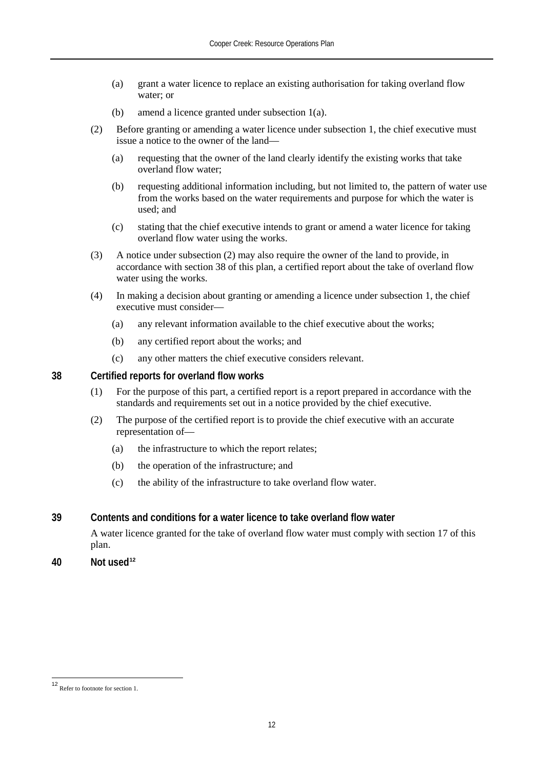- (a) grant a water licence to replace an existing authorisation for taking overland flow water; or
- (b) amend a licence granted under subsection 1(a).
- (2) Before granting or amending a water licence under subsection 1, the chief executive must issue a notice to the owner of the land—
	- (a) requesting that the owner of the land clearly identify the existing works that take overland flow water;
	- (b) requesting additional information including, but not limited to, the pattern of water use from the works based on the water requirements and purpose for which the water is used; and
	- (c) stating that the chief executive intends to grant or amend a water licence for taking overland flow water using the works.
- (3) A notice under subsection (2) may also require the owner of the land to provide, in accordance with section 38 of this plan, a certified report about the take of overland flow water using the works.
- (4) In making a decision about granting or amending a licence under subsection 1, the chief executive must consider—
	- (a) any relevant information available to the chief executive about the works;
	- (b) any certified report about the works; and
	- (c) any other matters the chief executive considers relevant.

**38 Certified reports for overland flow works**

- (1) For the purpose of this part, a certified report is a report prepared in accordance with the standards and requirements set out in a notice provided by the chief executive.
- (2) The purpose of the certified report is to provide the chief executive with an accurate representation of—
	- (a) the infrastructure to which the report relates;
	- (b) the operation of the infrastructure; and
	- (c) the ability of the infrastructure to take overland flow water.
- **39 Contents and conditions for a water licence to take overland flow water**

A water licence granted for the take of overland flow water must comply with section 17 of this plan.

**40 Not used[12](#page-17-0)**

<span id="page-17-0"></span><sup>12</sup> Refer to footnote for section 1.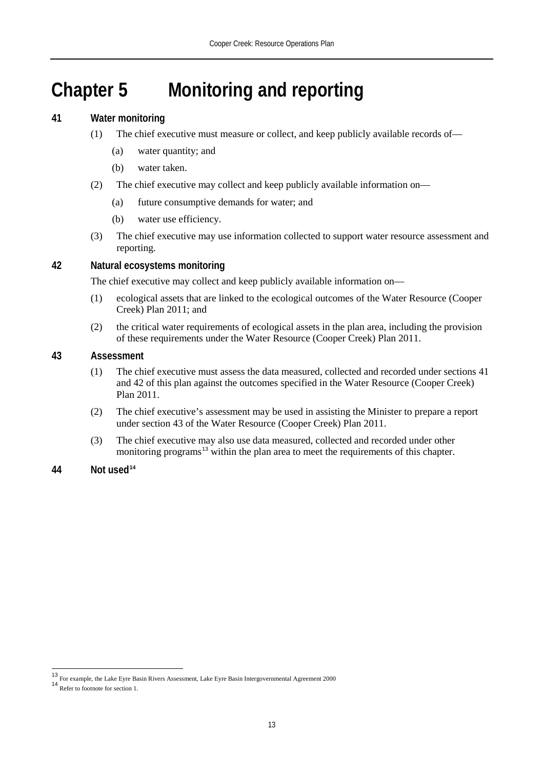# **Chapter 5 Monitoring and reporting**

#### **41 Water monitoring**

- (1) The chief executive must measure or collect, and keep publicly available records of—
	- (a) water quantity; and
	- (b) water taken.
- (2) The chief executive may collect and keep publicly available information on—
	- (a) future consumptive demands for water; and
	- (b) water use efficiency.
- (3) The chief executive may use information collected to support water resource assessment and reporting.

#### **42 Natural ecosystems monitoring**

The chief executive may collect and keep publicly available information on—

- (1) ecological assets that are linked to the ecological outcomes of the Water Resource (Cooper Creek) Plan 2011; and
- (2) the critical water requirements of ecological assets in the plan area, including the provision of these requirements under the Water Resource (Cooper Creek) Plan 2011.

#### **43 Assessment**

- (1) The chief executive must assess the data measured, collected and recorded under sections 41 and 42 of this plan against the outcomes specified in the Water Resource (Cooper Creek) Plan 2011.
- (2) The chief executive's assessment may be used in assisting the Minister to prepare a report under section 43 of the Water Resource (Cooper Creek) Plan 2011.
- (3) The chief executive may also use data measured, collected and recorded under other monitoring programs<sup>[13](#page-18-0)</sup> within the plan area to meet the requirements of this chapter.

#### **44 Not used[14](#page-18-1)**

<span id="page-18-0"></span><sup>&</sup>lt;sup>13</sup> For example, the Lake Eyre Basin Rivers Assessment, Lake Eyre Basin Intergovernmental Agreement 2000<br><sup>14</sup> Refer to footnote for section 1.

<span id="page-18-1"></span>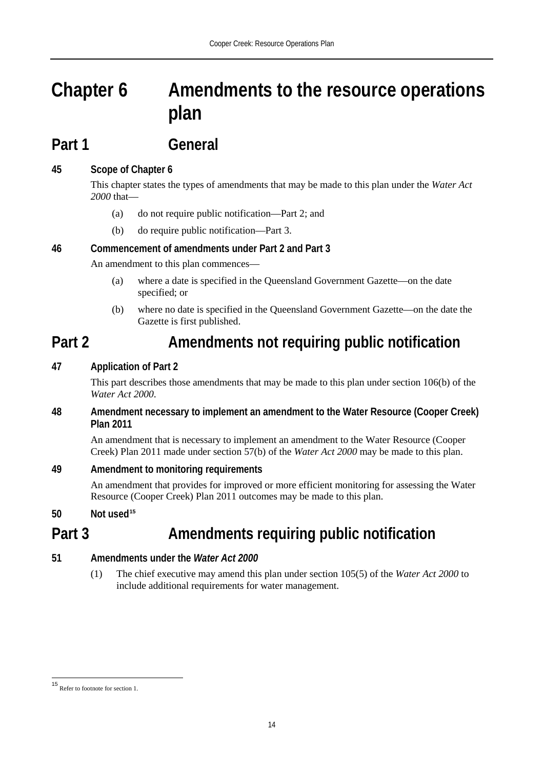# **Chapter 6 Amendments to the resource operations plan**

### **Part 1 General**

#### **45 Scope of Chapter 6**

This chapter states the types of amendments that may be made to this plan under the *Water Act 2000* that—

- (a) do not require public notification—Part 2; and
- (b) do require public notification—Part 3.

#### **46 Commencement of amendments under Part 2 and Part 3**

An amendment to this plan commences—

- (a) where a date is specified in the Queensland Government Gazette—on the date specified; or
- (b) where no date is specified in the Queensland Government Gazette—on the date the Gazette is first published.

### **Part 2 Amendments not requiring public notification**

#### **47 Application of Part 2**

This part describes those amendments that may be made to this plan under section 106(b) of the *Water Act 2000*.

#### **48 Amendment necessary to implement an amendment to the Water Resource (Cooper Creek) Plan 2011**

An amendment that is necessary to implement an amendment to the Water Resource (Cooper Creek) Plan 2011 made under section 57(b) of the *Water Act 2000* may be made to this plan.

#### **49 Amendment to monitoring requirements**

An amendment that provides for improved or more efficient monitoring for assessing the Water Resource (Cooper Creek) Plan 2011 outcomes may be made to this plan.

**50 Not used[15](#page-19-0)**

### **Part 3 Amendments requiring public notification**

#### **51 Amendments under the** *Water Act 2000*

(1) The chief executive may amend this plan under section 105(5) of the *Water Act 2000* to include additional requirements for water management.

<span id="page-19-0"></span><sup>15</sup> Refer to footnote for section 1.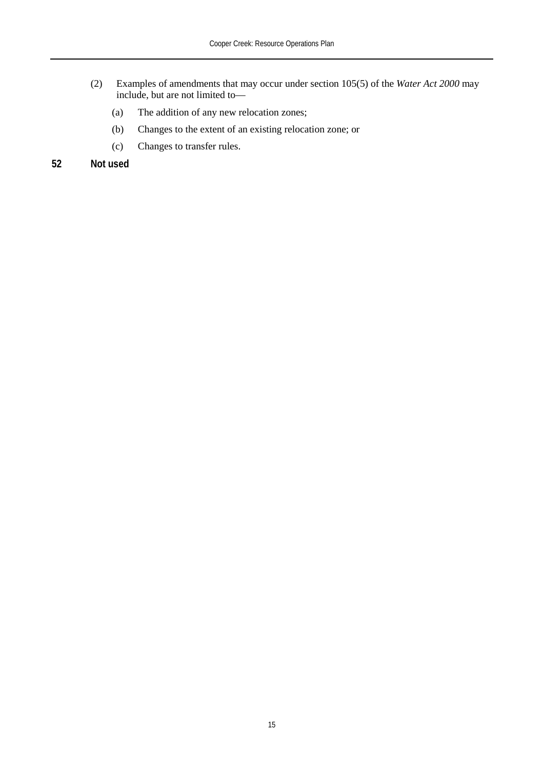- (2) Examples of amendments that may occur under section 105(5) of the *Water Act 2000* may include, but are not limited to—
	- (a) The addition of any new relocation zones;
	- (b) Changes to the extent of an existing relocation zone; or
	- (c) Changes to transfer rules.

#### **52 Not used**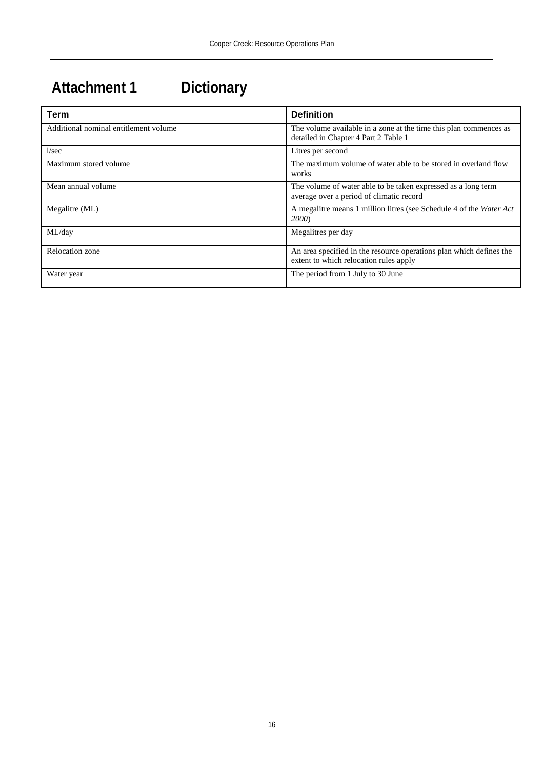# **Attachment 1 Dictionary**

| Term                                  | <b>Definition</b>                                                                                             |
|---------------------------------------|---------------------------------------------------------------------------------------------------------------|
| Additional nominal entitlement volume | The volume available in a zone at the time this plan commences as<br>detailed in Chapter 4 Part 2 Table 1     |
| 1/sec                                 | Litres per second                                                                                             |
| Maximum stored volume                 | The maximum volume of water able to be stored in overland flow<br>works                                       |
| Mean annual volume                    | The volume of water able to be taken expressed as a long term<br>average over a period of climatic record     |
| Megalitre (ML)                        | A megalitre means 1 million litres (see Schedule 4 of the Water Act<br><b>2000</b>                            |
| ML/day                                | Megalitres per day                                                                                            |
| Relocation zone                       | An area specified in the resource operations plan which defines the<br>extent to which relocation rules apply |
| Water year                            | The period from 1 July to 30 June                                                                             |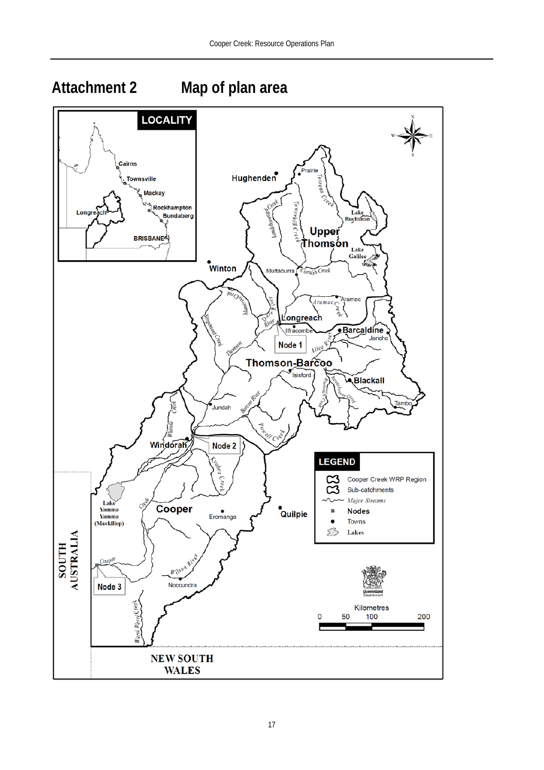### **Attachment 2 Map of plan area**



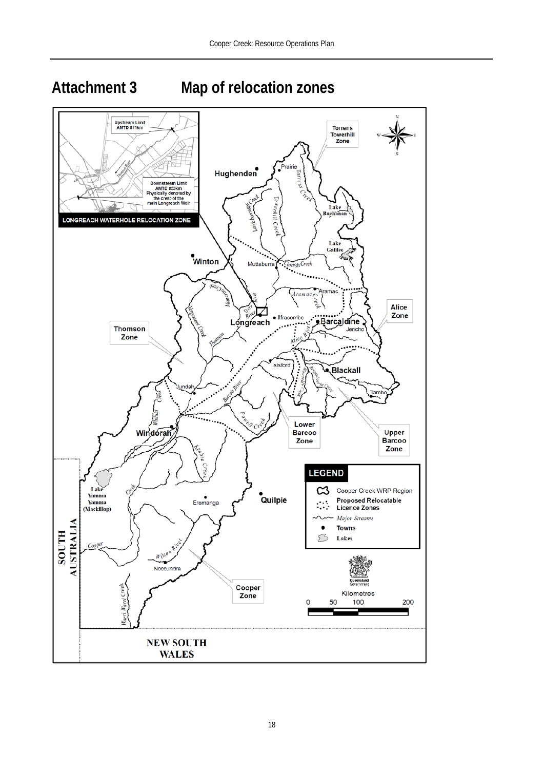**Attachment 3 Map of relocation zones**

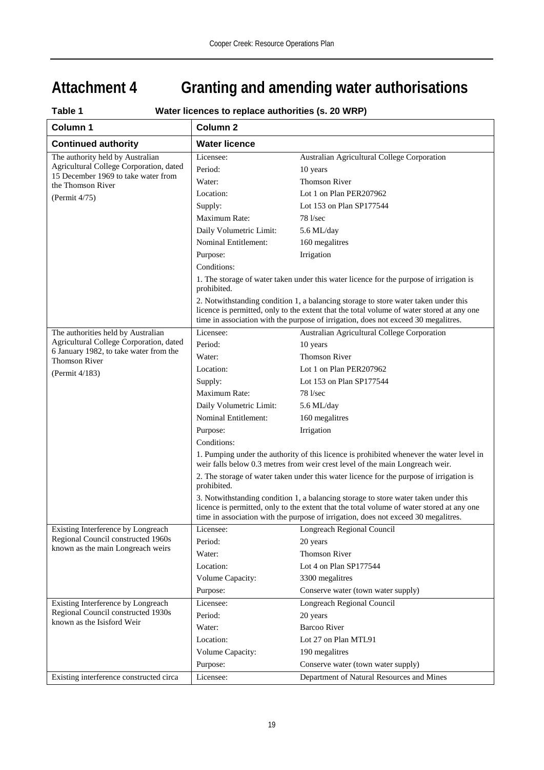# **Attachment 4 Granting and amending water authorisations**

| Table 1<br>Water licences to replace authorities (s. 20 WRP)                      |                                                                                                                                                                                                                                                                        |                                                                                                                                                                                                                                                                        |  |  |  |  |
|-----------------------------------------------------------------------------------|------------------------------------------------------------------------------------------------------------------------------------------------------------------------------------------------------------------------------------------------------------------------|------------------------------------------------------------------------------------------------------------------------------------------------------------------------------------------------------------------------------------------------------------------------|--|--|--|--|
| Column 1                                                                          | Column <sub>2</sub>                                                                                                                                                                                                                                                    |                                                                                                                                                                                                                                                                        |  |  |  |  |
| <b>Continued authority</b>                                                        | <b>Water licence</b>                                                                                                                                                                                                                                                   |                                                                                                                                                                                                                                                                        |  |  |  |  |
| The authority held by Australian                                                  | Licensee:                                                                                                                                                                                                                                                              | Australian Agricultural College Corporation                                                                                                                                                                                                                            |  |  |  |  |
| Agricultural College Corporation, dated                                           | Period:                                                                                                                                                                                                                                                                | 10 years                                                                                                                                                                                                                                                               |  |  |  |  |
| 15 December 1969 to take water from<br>the Thomson River                          | Water:                                                                                                                                                                                                                                                                 | <b>Thomson River</b>                                                                                                                                                                                                                                                   |  |  |  |  |
| (Permit 4/75)                                                                     | Location:                                                                                                                                                                                                                                                              | Lot 1 on Plan PER207962                                                                                                                                                                                                                                                |  |  |  |  |
|                                                                                   | Supply:                                                                                                                                                                                                                                                                | Lot 153 on Plan SP177544                                                                                                                                                                                                                                               |  |  |  |  |
|                                                                                   | Maximum Rate:                                                                                                                                                                                                                                                          | 78 l/sec                                                                                                                                                                                                                                                               |  |  |  |  |
|                                                                                   | Daily Volumetric Limit:                                                                                                                                                                                                                                                | 5.6 ML/day                                                                                                                                                                                                                                                             |  |  |  |  |
|                                                                                   | <b>Nominal Entitlement:</b>                                                                                                                                                                                                                                            | 160 megalitres                                                                                                                                                                                                                                                         |  |  |  |  |
|                                                                                   | Purpose:                                                                                                                                                                                                                                                               | Irrigation                                                                                                                                                                                                                                                             |  |  |  |  |
|                                                                                   | Conditions:                                                                                                                                                                                                                                                            |                                                                                                                                                                                                                                                                        |  |  |  |  |
|                                                                                   | prohibited.                                                                                                                                                                                                                                                            | 1. The storage of water taken under this water licence for the purpose of irrigation is                                                                                                                                                                                |  |  |  |  |
|                                                                                   |                                                                                                                                                                                                                                                                        | 2. Notwithstanding condition 1, a balancing storage to store water taken under this<br>licence is permitted, only to the extent that the total volume of water stored at any one<br>time in association with the purpose of irrigation, does not exceed 30 megalitres. |  |  |  |  |
| The authorities held by Australian                                                | Licensee:                                                                                                                                                                                                                                                              | Australian Agricultural College Corporation                                                                                                                                                                                                                            |  |  |  |  |
| Agricultural College Corporation, dated<br>6 January 1982, to take water from the | Period:                                                                                                                                                                                                                                                                | 10 years                                                                                                                                                                                                                                                               |  |  |  |  |
| <b>Thomson River</b>                                                              | Water:                                                                                                                                                                                                                                                                 | <b>Thomson River</b>                                                                                                                                                                                                                                                   |  |  |  |  |
| (Permit 4/183)                                                                    | Location:                                                                                                                                                                                                                                                              | Lot 1 on Plan PER207962                                                                                                                                                                                                                                                |  |  |  |  |
|                                                                                   | Supply:                                                                                                                                                                                                                                                                | Lot 153 on Plan SP177544                                                                                                                                                                                                                                               |  |  |  |  |
|                                                                                   | Maximum Rate:                                                                                                                                                                                                                                                          | 78 l/sec                                                                                                                                                                                                                                                               |  |  |  |  |
|                                                                                   | Daily Volumetric Limit:                                                                                                                                                                                                                                                | 5.6 ML/day                                                                                                                                                                                                                                                             |  |  |  |  |
|                                                                                   | Nominal Entitlement:                                                                                                                                                                                                                                                   | 160 megalitres                                                                                                                                                                                                                                                         |  |  |  |  |
|                                                                                   | Purpose:                                                                                                                                                                                                                                                               | Irrigation                                                                                                                                                                                                                                                             |  |  |  |  |
|                                                                                   | Conditions:                                                                                                                                                                                                                                                            |                                                                                                                                                                                                                                                                        |  |  |  |  |
|                                                                                   | 1. Pumping under the authority of this licence is prohibited whenever the water level in<br>weir falls below 0.3 metres from weir crest level of the main Longreach weir.                                                                                              |                                                                                                                                                                                                                                                                        |  |  |  |  |
|                                                                                   | 2. The storage of water taken under this water licence for the purpose of irrigation is<br>prohibited.                                                                                                                                                                 |                                                                                                                                                                                                                                                                        |  |  |  |  |
|                                                                                   | 3. Notwithstanding condition 1, a balancing storage to store water taken under this<br>licence is permitted, only to the extent that the total volume of water stored at any one<br>time in association with the purpose of irrigation, does not exceed 30 megalitres. |                                                                                                                                                                                                                                                                        |  |  |  |  |
| Existing Interference by Longreach                                                | Licensee:                                                                                                                                                                                                                                                              | <b>Longreach Regional Council</b>                                                                                                                                                                                                                                      |  |  |  |  |
| Regional Council constructed 1960s<br>known as the main Longreach weirs           | Period:                                                                                                                                                                                                                                                                | 20 years                                                                                                                                                                                                                                                               |  |  |  |  |
|                                                                                   | Water:                                                                                                                                                                                                                                                                 | <b>Thomson River</b>                                                                                                                                                                                                                                                   |  |  |  |  |
|                                                                                   | Location:                                                                                                                                                                                                                                                              | Lot 4 on Plan SP177544                                                                                                                                                                                                                                                 |  |  |  |  |
|                                                                                   | Volume Capacity:                                                                                                                                                                                                                                                       | 3300 megalitres                                                                                                                                                                                                                                                        |  |  |  |  |
|                                                                                   | Purpose:                                                                                                                                                                                                                                                               | Conserve water (town water supply)                                                                                                                                                                                                                                     |  |  |  |  |
| Existing Interference by Longreach                                                | Licensee:                                                                                                                                                                                                                                                              | <b>Longreach Regional Council</b>                                                                                                                                                                                                                                      |  |  |  |  |
| Regional Council constructed 1930s<br>known as the Isisford Weir                  | Period:                                                                                                                                                                                                                                                                | 20 years                                                                                                                                                                                                                                                               |  |  |  |  |
|                                                                                   | Water:                                                                                                                                                                                                                                                                 | <b>Barcoo River</b>                                                                                                                                                                                                                                                    |  |  |  |  |
|                                                                                   | Location:                                                                                                                                                                                                                                                              | Lot 27 on Plan MTL91                                                                                                                                                                                                                                                   |  |  |  |  |
|                                                                                   | Volume Capacity:                                                                                                                                                                                                                                                       | 190 megalitres                                                                                                                                                                                                                                                         |  |  |  |  |
|                                                                                   | Purpose:                                                                                                                                                                                                                                                               | Conserve water (town water supply)                                                                                                                                                                                                                                     |  |  |  |  |
| Existing interference constructed circa                                           | Licensee:                                                                                                                                                                                                                                                              | Department of Natural Resources and Mines                                                                                                                                                                                                                              |  |  |  |  |

#### **Table 1 Water licences to replace authorities (s. 20 WRP)**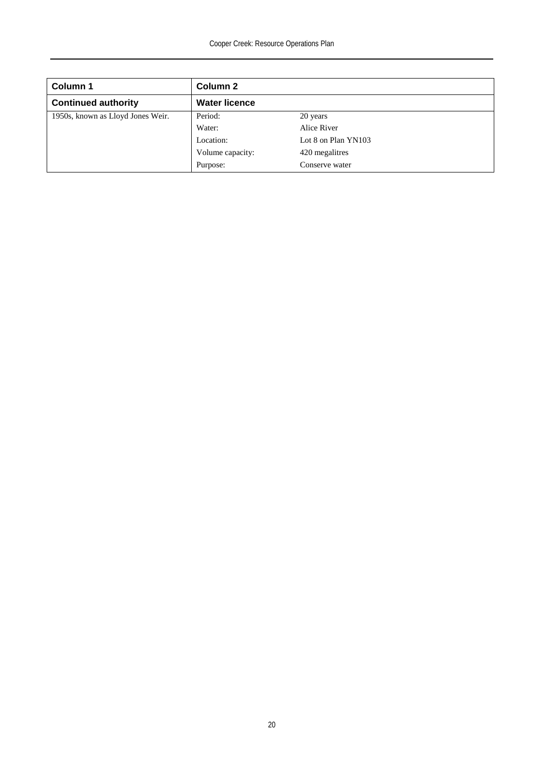| Column 1                          | Column 2             |                     |
|-----------------------------------|----------------------|---------------------|
| <b>Continued authority</b>        | <b>Water licence</b> |                     |
| 1950s, known as Lloyd Jones Weir. | Period:              | 20 years            |
|                                   | Water:               | Alice River         |
|                                   | Location:            | Lot 8 on Plan YN103 |
|                                   | Volume capacity:     | 420 megalitres      |
|                                   | Purpose:             | Conserve water      |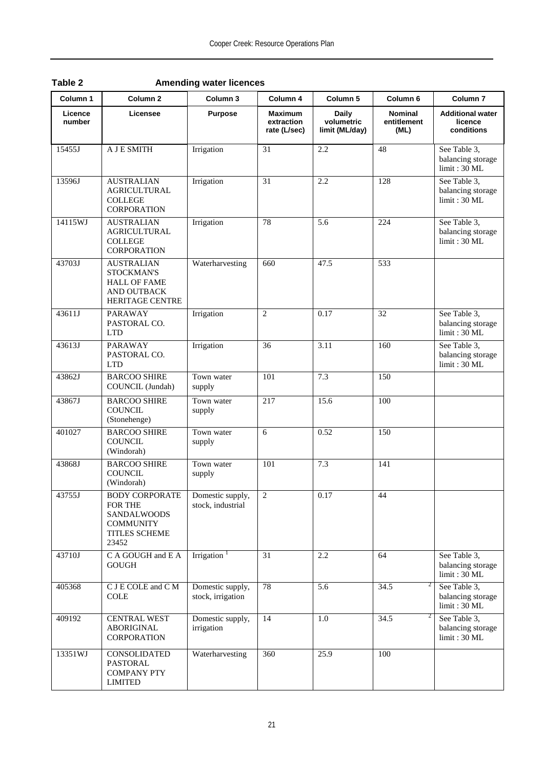| Column 1          | Column <sub>2</sub>                                                                                         | Column <sub>3</sub>                   | Column 4                                     | Column <sub>5</sub>                          | Column <sub>6</sub>                   | Column <sub>7</sub>                               |
|-------------------|-------------------------------------------------------------------------------------------------------------|---------------------------------------|----------------------------------------------|----------------------------------------------|---------------------------------------|---------------------------------------------------|
| Licence<br>number | Licensee                                                                                                    | <b>Purpose</b>                        | <b>Maximum</b><br>extraction<br>rate (L/sec) | <b>Daily</b><br>volumetric<br>limit (ML/day) | <b>Nominal</b><br>entitlement<br>(ML) | <b>Additional water</b><br>licence<br>conditions  |
| 15455J            | A J E SMITH                                                                                                 | Irrigation                            | 31                                           | 2.2                                          | 48                                    | See Table 3,<br>balancing storage<br>limit: 30 ML |
| 13596J            | <b>AUSTRALIAN</b><br><b>AGRICULTURAL</b><br><b>COLLEGE</b><br><b>CORPORATION</b>                            | Irrigation                            | 31                                           | 2.2                                          | 128                                   | See Table 3,<br>balancing storage<br>limit: 30 ML |
| 14115WJ           | <b>AUSTRALIAN</b><br><b>AGRICULTURAL</b><br><b>COLLEGE</b><br><b>CORPORATION</b>                            | Irrigation                            | 78                                           | 5.6                                          | 224                                   | See Table 3,<br>balancing storage<br>limit: 30 ML |
| 43703J            | <b>AUSTRALIAN</b><br>STOCKMAN'S<br><b>HALL OF FAME</b><br>AND OUTBACK<br><b>HERITAGE CENTRE</b>             | Waterharvesting                       | 660                                          | 47.5                                         | 533                                   |                                                   |
| 43611J            | <b>PARAWAY</b><br>PASTORAL CO.<br><b>LTD</b>                                                                | Irrigation                            | $\overline{c}$                               | 0.17                                         | 32                                    | See Table 3,<br>balancing storage<br>limit: 30 ML |
| 43613J            | <b>PARAWAY</b><br>PASTORAL CO.<br><b>LTD</b>                                                                | Irrigation                            | 36                                           | 3.11                                         | 160                                   | See Table 3,<br>balancing storage<br>limit: 30 ML |
| 43862J            | <b>BARCOO SHIRE</b><br>COUNCIL (Jundah)                                                                     | Town water<br>supply                  | 101                                          | 7.3                                          | 150                                   |                                                   |
| 43867J            | <b>BARCOO SHIRE</b><br><b>COUNCIL</b><br>(Stonehenge)                                                       | Town water<br>supply                  | 217                                          | 15.6                                         | 100                                   |                                                   |
| 401027            | <b>BARCOO SHIRE</b><br><b>COUNCIL</b><br>(Windorah)                                                         | Town water<br>supply                  | 6                                            | 0.52                                         | 150                                   |                                                   |
| 43868J            | <b>BARCOO SHIRE</b><br><b>COUNCIL</b><br>(Windorah)                                                         | Town water<br>supply                  | 101                                          | 7.3                                          | 141                                   |                                                   |
| 43755J            | <b>BODY CORPORATE</b><br><b>FOR THE</b><br><b>SANDALWOODS</b><br><b>COMMUNITY</b><br>TITLES SCHEME<br>23452 | Domestic supply,<br>stock, industrial | $\overline{c}$                               | 0.17                                         | 44                                    |                                                   |
| 43710J            | C A GOUGH and E A<br><b>GOUGH</b>                                                                           | Irrigation $1$                        | 31                                           | 2.2                                          | 64                                    | See Table 3,<br>balancing storage<br>limit: 30 ML |
| 405368            | C J E COLE and C M<br><b>COLE</b>                                                                           | Domestic supply,<br>stock, irrigation | 78                                           | 5.6                                          | 2<br>34.5                             | See Table 3,<br>balancing storage<br>limit: 30 ML |
| 409192            | <b>CENTRAL WEST</b><br><b>ABORIGINAL</b><br><b>CORPORATION</b>                                              | Domestic supply,<br>irrigation        | 14                                           | 1.0                                          | 2<br>34.5                             | See Table 3,<br>balancing storage<br>limit: 30 ML |
| 13351WJ           | CONSOLIDATED<br><b>PASTORAL</b><br><b>COMPANY PTY</b><br><b>LIMITED</b>                                     | Waterharvesting                       | 360                                          | 25.9                                         | 100                                   |                                                   |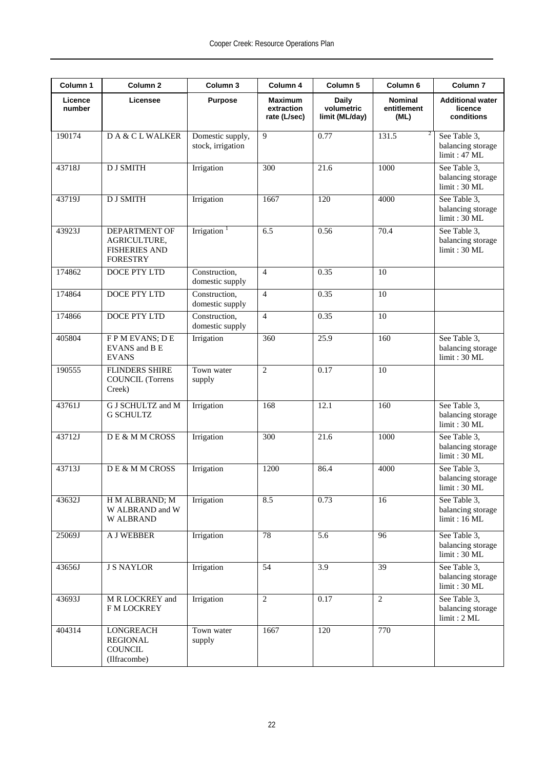| Column 1          | Column <sub>2</sub>                                                             | Column 3                              | Column 4                                     | Column 5                                     | Column 6                              | Column <sub>7</sub>                               |
|-------------------|---------------------------------------------------------------------------------|---------------------------------------|----------------------------------------------|----------------------------------------------|---------------------------------------|---------------------------------------------------|
| Licence<br>number | Licensee                                                                        | <b>Purpose</b>                        | <b>Maximum</b><br>extraction<br>rate (L/sec) | <b>Daily</b><br>volumetric<br>limit (ML/day) | <b>Nominal</b><br>entitlement<br>(ML) | <b>Additional water</b><br>licence<br>conditions  |
| 190174            | DA & CL WALKER                                                                  | Domestic supply,<br>stock, irrigation | 9                                            | 0.77                                         | 2<br>131.5                            | See Table 3,<br>balancing storage<br>limit: 47 ML |
| 43718J            | <b>D J SMITH</b>                                                                | Irrigation                            | 300                                          | 21.6                                         | 1000                                  | See Table 3,<br>balancing storage<br>limit: 30 ML |
| 43719J            | <b>DJ SMITH</b>                                                                 | Irrigation                            | 1667                                         | 120                                          | 4000                                  | See Table 3,<br>balancing storage<br>limit: 30 ML |
| 43923J            | <b>DEPARTMENT OF</b><br>AGRICULTURE,<br><b>FISHERIES AND</b><br><b>FORESTRY</b> | Irrigation $1$                        | 6.5                                          | 0.56                                         | 70.4                                  | See Table 3,<br>balancing storage<br>limit: 30 ML |
| 174862            | DOCE PTY LTD                                                                    | Construction,<br>domestic supply      | $\overline{4}$                               | 0.35                                         | 10                                    |                                                   |
| 174864            | <b>DOCE PTY LTD</b>                                                             | Construction,<br>domestic supply      | $\overline{4}$                               | 0.35                                         | 10                                    |                                                   |
| 174866            | DOCE PTY LTD                                                                    | Construction,<br>domestic supply      | $\overline{4}$                               | 0.35                                         | 10                                    |                                                   |
| 405804            | FPM EVANS; DE<br>EVANS and B E<br><b>EVANS</b>                                  | Irrigation                            | 360                                          | $\overline{25.9}$                            | 160                                   | See Table 3,<br>balancing storage<br>limit: 30 ML |
| 190555            | <b>FLINDERS SHIRE</b><br><b>COUNCIL</b> (Torrens<br>Creek)                      | Town water<br>supply                  | $\overline{2}$                               | 0.17                                         | 10                                    |                                                   |
| 43761J            | G J SCHULTZ and M<br><b>G SCHULTZ</b>                                           | Irrigation                            | 168                                          | 12.1                                         | 160                                   | See Table 3,<br>balancing storage<br>limit: 30 ML |
| 43712J            | DE & M M CROSS                                                                  | Irrigation                            | 300                                          | 21.6                                         | 1000                                  | See Table 3.<br>balancing storage<br>limit: 30 ML |
| 43713J            | DE & M M CROSS                                                                  | Irrigation                            | 1200                                         | 86.4                                         | 4000                                  | See Table 3,<br>balancing storage<br>limit: 30 ML |
| 43632J            | H M ALBRAND; M<br>W ALBRAND and W<br><b>WALBRAND</b>                            | Irrigation                            | 8.5                                          | 0.73                                         | 16                                    | See Table 3,<br>balancing storage<br>limit: 16 ML |
| 25069J            | <b>A J WEBBER</b>                                                               | Irrigation                            | 78                                           | 5.6                                          | 96                                    | See Table 3,<br>balancing storage<br>limit: 30 ML |
| 43656J            | <b>J S NAYLOR</b>                                                               | Irrigation                            | 54                                           | 3.9                                          | 39                                    | See Table 3,<br>balancing storage<br>limit: 30 ML |
| 43693J            | M R LOCKREY and<br><b>F M LOCKREY</b>                                           | Irrigation                            | 2                                            | 0.17                                         | $\overline{2}$                        | See Table 3,<br>balancing storage<br>limit: 2 ML  |
| 404314            | <b>LONGREACH</b><br><b>REGIONAL</b><br><b>COUNCIL</b><br>(Ilfracombe)           | Town water<br>supply                  | 1667                                         | 120                                          | 770                                   |                                                   |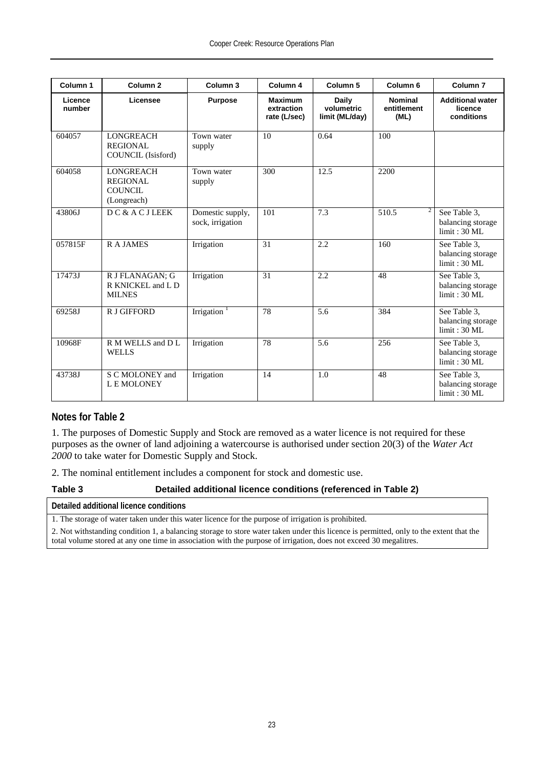| Column <sub>1</sub> | Column <sub>2</sub>                                           | Column 3                             | Column 4                                     | Column <sub>5</sub>                   | Column <sub>6</sub>                   | Column <sub>7</sub>                               |
|---------------------|---------------------------------------------------------------|--------------------------------------|----------------------------------------------|---------------------------------------|---------------------------------------|---------------------------------------------------|
| Licence<br>number   | Licensee                                                      | <b>Purpose</b>                       | <b>Maximum</b><br>extraction<br>rate (L/sec) | Daily<br>volumetric<br>limit (ML/day) | <b>Nominal</b><br>entitlement<br>(ML) | <b>Additional water</b><br>licence<br>conditions  |
| 604057              | <b>LONGREACH</b><br><b>REGIONAL</b><br>COUNCIL (Isisford)     | Town water<br>supply                 | 10                                           | 0.64                                  | 100                                   |                                                   |
| 604058              | <b>LONGREACH</b><br><b>REGIONAL</b><br>COUNCIL<br>(Longreach) | Town water<br>supply                 | 300                                          | 12.5                                  | 2200                                  |                                                   |
| 43806J              | DC & A C J LEEK                                               | Domestic supply,<br>sock, irrigation | 101                                          | 7.3                                   | 510.5                                 | See Table 3,<br>balancing storage<br>limit: 30 ML |
| 057815F             | <b>RAJAMES</b>                                                | Irrigation                           | 31                                           | 2.2                                   | 160                                   | See Table 3.<br>balancing storage<br>limit: 30 ML |
| 17473J              | R J FLANAGAN: G<br>R KNICKEL and L D<br><b>MILNES</b>         | Irrigation                           | 31                                           | 2.2                                   | 48                                    | See Table 3,<br>balancing storage<br>limit: 30 ML |
| 69258J              | R J GIFFORD                                                   | Irrigation $1$                       | 78                                           | 5.6                                   | 384                                   | See Table 3,<br>balancing storage<br>limit: 30 ML |
| 10968F              | R M WELLS and D L<br><b>WELLS</b>                             | Irrigation                           | 78                                           | 5.6                                   | 256                                   | See Table 3,<br>balancing storage<br>limit: 30 ML |
| 43738J              | S C MOLONEY and<br>L E MOLONEY                                | Irrigation                           | 14                                           | 1.0                                   | 48                                    | See Table 3,<br>balancing storage<br>limit: 30 ML |

#### **Notes for Table 2**

1. The purposes of Domestic Supply and Stock are removed as a water licence is not required for these purposes as the owner of land adjoining a watercourse is authorised under section 20(3) of the *Water Act 2000* to take water for Domestic Supply and Stock.

2. The nominal entitlement includes a component for stock and domestic use.

#### **Table 3 Detailed additional licence conditions (referenced in Table 2)**

**Detailed additional licence conditions**

1. The storage of water taken under this water licence for the purpose of irrigation is prohibited.

2. Not withstanding condition 1, a balancing storage to store water taken under this licence is permitted, only to the extent that the total volume stored at any one time in association with the purpose of irrigation, does not exceed 30 megalitres.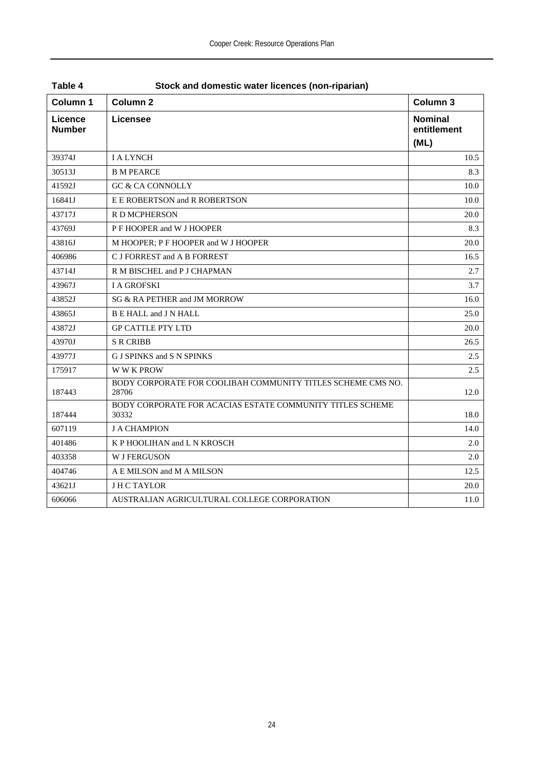| Column 1                 | Column <sub>2</sub>                                                  | Column 3                              |
|--------------------------|----------------------------------------------------------------------|---------------------------------------|
| Licence<br><b>Number</b> | Licensee                                                             | <b>Nominal</b><br>entitlement<br>(ML) |
| 39374J                   | <b>I A LYNCH</b>                                                     | 10.5                                  |
| 30513J                   | <b>B M PEARCE</b>                                                    | 8.3                                   |
| 41592J                   | <b>GC &amp; CA CONNOLLY</b>                                          | 10.0                                  |
| 16841J                   | E E ROBERTSON and R ROBERTSON                                        | 10.0                                  |
| 43717J                   | R D MCPHERSON                                                        | 20.0                                  |
| 43769J                   | P F HOOPER and W J HOOPER                                            | 8.3                                   |
| 43816J                   | M HOOPER; P F HOOPER and W J HOOPER                                  | 20.0                                  |
| 406986                   | C J FORREST and A B FORREST                                          | 16.5                                  |
| 43714J                   | R M BISCHEL and P J CHAPMAN                                          | 2.7                                   |
| 43967J                   | <b>I A GROFSKI</b>                                                   | 3.7                                   |
| 43852J                   | SG & RA PETHER and JM MORROW                                         | 16.0                                  |
| 43865J                   | B E HALL and J N HALL                                                | 25.0                                  |
| 43872J                   | <b>GP CATTLE PTY LTD</b>                                             | 20.0                                  |
| 43970J                   | <b>S R CRIBB</b>                                                     | 26.5                                  |
| 43977J                   | G J SPINKS and S N SPINKS                                            | 2.5                                   |
| 175917                   | W W K PROW                                                           | 2.5                                   |
| 187443                   | BODY CORPORATE FOR COOLIBAH COMMUNITY TITLES SCHEME CMS NO.<br>28706 | 12.0                                  |
| 187444                   | BODY CORPORATE FOR ACACIAS ESTATE COMMUNITY TITLES SCHEME<br>30332   | 18.0                                  |
| 607119                   | <b>J A CHAMPION</b>                                                  | 14.0                                  |
| 401486                   | K P HOOLIHAN and L N KROSCH                                          | 2.0                                   |
| 403358                   | <b>W J FERGUSON</b>                                                  | 2.0                                   |
| 404746                   | A E MILSON and M A MILSON                                            | 12.5                                  |
| 43621J                   | <b>JHCTAYLOR</b>                                                     | 20.0                                  |
| 606066                   | AUSTRALIAN AGRICULTURAL COLLEGE CORPORATION                          | 11.0                                  |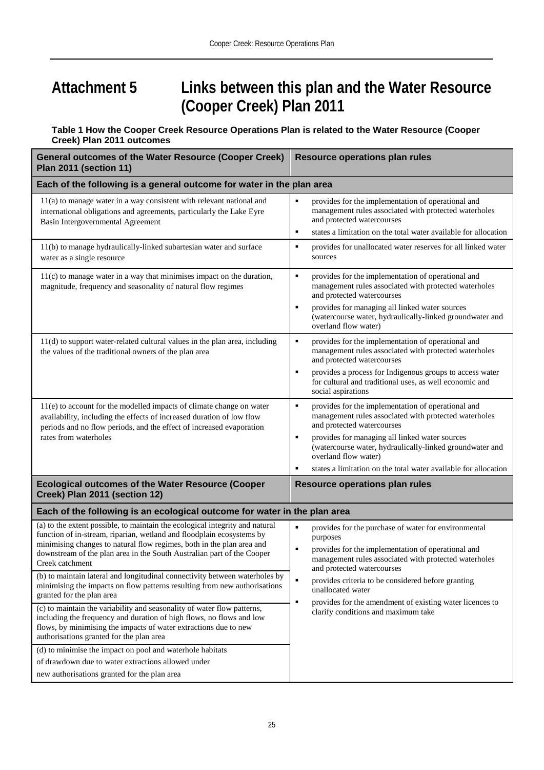## **Attachment 5 Links between this plan and the Water Resource (Cooper Creek) Plan 2011**

#### **Table 1 How the Cooper Creek Resource Operations Plan is related to the Water Resource (Cooper Creek) Plan 2011 outcomes**

| <b>General outcomes of the Water Resource (Cooper Creek)</b><br>Plan 2011 (section 11)                                                                                                                                                                                                                                      | <b>Resource operations plan rules</b>                                                                                                                                                                                  |  |  |  |  |
|-----------------------------------------------------------------------------------------------------------------------------------------------------------------------------------------------------------------------------------------------------------------------------------------------------------------------------|------------------------------------------------------------------------------------------------------------------------------------------------------------------------------------------------------------------------|--|--|--|--|
| Each of the following is a general outcome for water in the plan area                                                                                                                                                                                                                                                       |                                                                                                                                                                                                                        |  |  |  |  |
| $11(a)$ to manage water in a way consistent with relevant national and<br>international obligations and agreements, particularly the Lake Eyre<br>Basin Intergovernmental Agreement                                                                                                                                         | provides for the implementation of operational and<br>٠<br>management rules associated with protected waterholes<br>and protected watercourses<br>states a limitation on the total water available for allocation<br>٠ |  |  |  |  |
| 11(b) to manage hydraulically-linked subartesian water and surface<br>water as a single resource                                                                                                                                                                                                                            | provides for unallocated water reserves for all linked water<br>٠<br>sources                                                                                                                                           |  |  |  |  |
| 11(c) to manage water in a way that minimises impact on the duration,<br>magnitude, frequency and seasonality of natural flow regimes                                                                                                                                                                                       | provides for the implementation of operational and<br>٠<br>management rules associated with protected waterholes<br>and protected watercourses                                                                         |  |  |  |  |
|                                                                                                                                                                                                                                                                                                                             | provides for managing all linked water sources<br>٠<br>(watercourse water, hydraulically-linked groundwater and<br>overland flow water)                                                                                |  |  |  |  |
| 11(d) to support water-related cultural values in the plan area, including<br>the values of the traditional owners of the plan area                                                                                                                                                                                         | provides for the implementation of operational and<br>٠<br>management rules associated with protected waterholes<br>and protected watercourses                                                                         |  |  |  |  |
|                                                                                                                                                                                                                                                                                                                             | provides a process for Indigenous groups to access water<br>٠<br>for cultural and traditional uses, as well economic and<br>social aspirations                                                                         |  |  |  |  |
| 11(e) to account for the modelled impacts of climate change on water<br>availability, including the effects of increased duration of low flow<br>periods and no flow periods, and the effect of increased evaporation                                                                                                       | $\blacksquare$<br>provides for the implementation of operational and<br>management rules associated with protected waterholes<br>and protected watercourses                                                            |  |  |  |  |
| rates from waterholes                                                                                                                                                                                                                                                                                                       | provides for managing all linked water sources<br>٠<br>(watercourse water, hydraulically-linked groundwater and<br>overland flow water)                                                                                |  |  |  |  |
|                                                                                                                                                                                                                                                                                                                             | states a limitation on the total water available for allocation<br>٠                                                                                                                                                   |  |  |  |  |
| <b>Ecological outcomes of the Water Resource (Cooper</b><br>Creek) Plan 2011 (section 12)                                                                                                                                                                                                                                   | Resource operations plan rules                                                                                                                                                                                         |  |  |  |  |
| Each of the following is an ecological outcome for water in the plan area                                                                                                                                                                                                                                                   |                                                                                                                                                                                                                        |  |  |  |  |
| (a) to the extent possible, to maintain the ecological integrity and natural<br>function of in-stream, riparian, wetland and floodplain ecosystems by<br>minimising changes to natural flow regimes, both in the plan area and<br>downstream of the plan area in the South Australian part of the Cooper<br>Creek catchment | $\blacksquare$<br>provides for the purchase of water for environmental<br>purposes<br>٠<br>provides for the implementation of operational and<br>management rules associated with protected waterholes                 |  |  |  |  |
| (b) to maintain lateral and longitudinal connectivity between waterholes by<br>minimising the impacts on flow patterns resulting from new authorisations<br>granted for the plan area                                                                                                                                       | and protected watercourses<br>$\blacksquare$<br>provides criteria to be considered before granting<br>unallocated water                                                                                                |  |  |  |  |
| (c) to maintain the variability and seasonality of water flow patterns,<br>including the frequency and duration of high flows, no flows and low<br>flows, by minimising the impacts of water extractions due to new<br>authorisations granted for the plan area                                                             | ٠<br>provides for the amendment of existing water licences to<br>clarify conditions and maximum take                                                                                                                   |  |  |  |  |
| (d) to minimise the impact on pool and waterhole habitats                                                                                                                                                                                                                                                                   |                                                                                                                                                                                                                        |  |  |  |  |
| of drawdown due to water extractions allowed under<br>new authorisations granted for the plan area                                                                                                                                                                                                                          |                                                                                                                                                                                                                        |  |  |  |  |
|                                                                                                                                                                                                                                                                                                                             |                                                                                                                                                                                                                        |  |  |  |  |